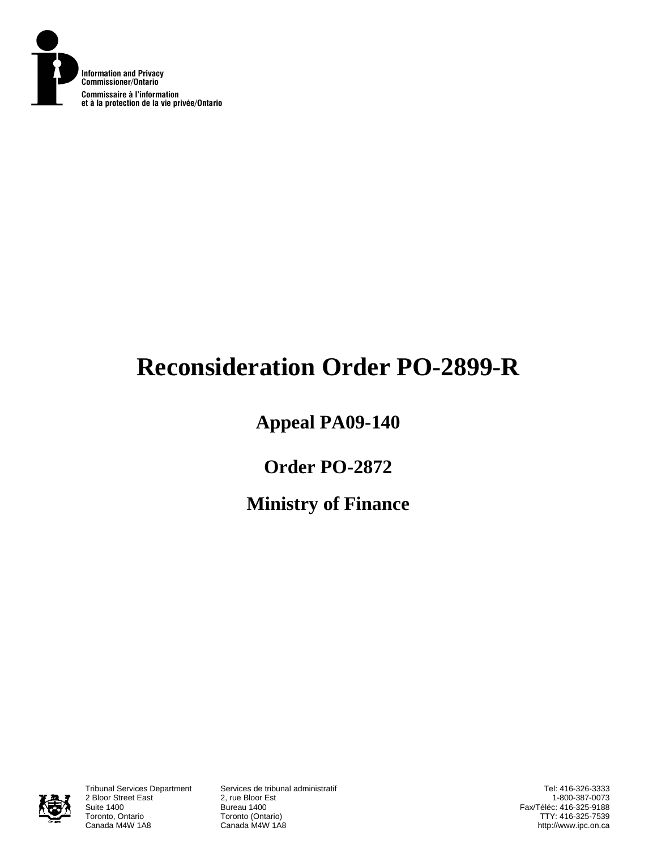

# **Reconsideration Order PO-2899-R**

# **Appeal PA09-140**

# **Order PO-2872**

# **Ministry of Finance**



2 Bloor Street East<br>Suite 1400 Suite 1400 Bureau 1400<br>Toronto, Ontario **Bureau 1400** Toronto, Ontario **Toronto (Ontario)**<br>Canada M4W 1A8 **Canada M4W 1A8** 

Tribunal Services Department Services de tribunal administratif Canada M4W 1A8

Tel: 416-326-3333 1-800-387-0073 Fax/Téléc: 416-325-9188 TTY: 416-325-7539 http://www.ipc.on.ca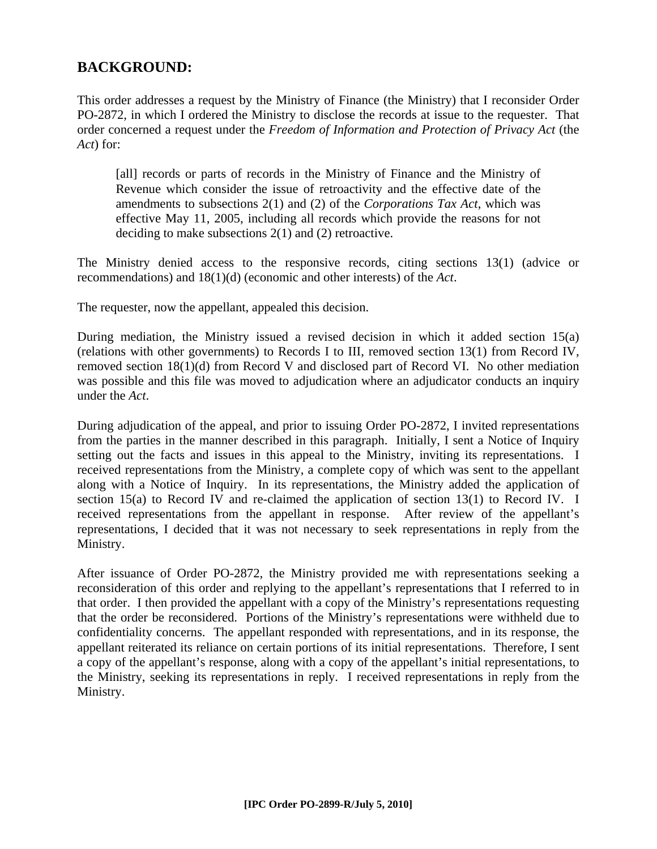## **BACKGROUND:**

This order addresses a request by the Ministry of Finance (the Ministry) that I reconsider Order PO-2872, in which I ordered the Ministry to disclose the records at issue to the requester. That order concerned a request under the *Freedom of Information and Protection of Privacy Act* (the *Act*) for:

[all] records or parts of records in the Ministry of Finance and the Ministry of Revenue which consider the issue of retroactivity and the effective date of the amendments to subsections 2(1) and (2) of the *Corporations Tax Act*, which was effective May 11, 2005, including all records which provide the reasons for not deciding to make subsections 2(1) and (2) retroactive.

The Ministry denied access to the responsive records, citing sections 13(1) (advice or recommendations) and 18(1)(d) (economic and other interests) of the *Act*.

The requester, now the appellant, appealed this decision.

During mediation, the Ministry issued a revised decision in which it added section 15(a) (relations with other governments) to Records I to III, removed section 13(1) from Record IV, removed section 18(1)(d) from Record V and disclosed part of Record VI. No other mediation was possible and this file was moved to adjudication where an adjudicator conducts an inquiry under the *Act*.

During adjudication of the appeal, and prior to issuing Order PO-2872, I invited representations from the parties in the manner described in this paragraph. Initially, I sent a Notice of Inquiry setting out the facts and issues in this appeal to the Ministry, inviting its representations. I received representations from the Ministry, a complete copy of which was sent to the appellant along with a Notice of Inquiry. In its representations, the Ministry added the application of section 15(a) to Record IV and re-claimed the application of section 13(1) to Record IV. I received representations from the appellant in response. After review of the appellant's representations, I decided that it was not necessary to seek representations in reply from the Ministry.

After issuance of Order PO-2872, the Ministry provided me with representations seeking a reconsideration of this order and replying to the appellant's representations that I referred to in that order. I then provided the appellant with a copy of the Ministry's representations requesting that the order be reconsidered. Portions of the Ministry's representations were withheld due to confidentiality concerns. The appellant responded with representations, and in its response, the appellant reiterated its reliance on certain portions of its initial representations. Therefore, I sent a copy of the appellant's response, along with a copy of the appellant's initial representations, to the Ministry, seeking its representations in reply. I received representations in reply from the Ministry.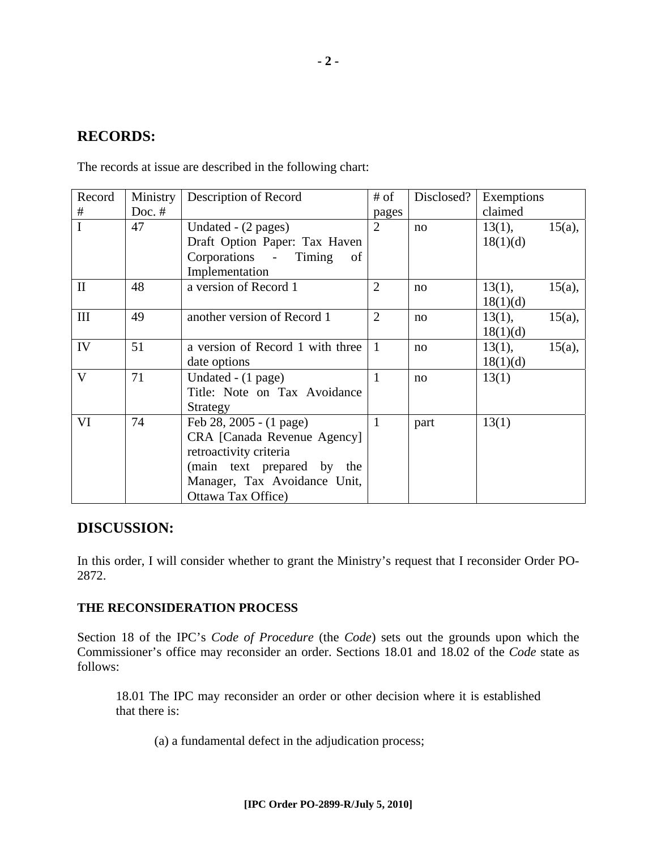### **RECORDS:**

The records at issue are described in the following chart:

| Record         | Ministry | Description of Record            | # of           | Disclosed? | Exemptions |           |
|----------------|----------|----------------------------------|----------------|------------|------------|-----------|
| #              | Doc. $#$ |                                  | pages          |            | claimed    |           |
| $\mathbf I$    | 47       | Undated - (2 pages)              | $\overline{2}$ | no         | $13(1)$ ,  | $15(a)$ , |
|                |          | Draft Option Paper: Tax Haven    |                |            | 18(1)(d)   |           |
|                |          | Corporations - Timing<br>of      |                |            |            |           |
|                |          | Implementation                   |                |            |            |           |
| $\mathbf{I}$   | 48       | a version of Record 1            | $\overline{2}$ | no         | 13(1),     | $15(a)$ , |
|                |          |                                  |                |            | 18(1)(d)   |           |
| III            | 49       | another version of Record 1      | $\overline{2}$ | no         | $13(1)$ ,  | $15(a)$ , |
|                |          |                                  |                |            | 18(1)(d)   |           |
| IV             | 51       | a version of Record 1 with three | $\mathbf{1}$   | no         | 13(1),     | $15(a)$ , |
|                |          | date options                     |                |            | 18(1)(d)   |           |
| $\overline{V}$ | 71       | Undated - (1 page)               | 1              | no         | 13(1)      |           |
|                |          | Title: Note on Tax Avoidance     |                |            |            |           |
|                |          | Strategy                         |                |            |            |           |
| VI             | 74       | Feb 28, 2005 - (1 page)          | $\mathbf{1}$   | part       | 13(1)      |           |
|                |          | CRA [Canada Revenue Agency]      |                |            |            |           |
|                |          | retroactivity criteria           |                |            |            |           |
|                |          | (main text prepared by the       |                |            |            |           |
|                |          | Manager, Tax Avoidance Unit,     |                |            |            |           |
|                |          | Ottawa Tax Office)               |                |            |            |           |

### **DISCUSSION:**

In this order, I will consider whether to grant the Ministry's request that I reconsider Order PO-2872.

#### **THE RECONSIDERATION PROCESS**

Section 18 of the IPC's *Code of Procedure* (the *Code*) sets out the grounds upon which the Commissioner's office may reconsider an order. Sections 18.01 and 18.02 of the *Code* state as follows:

18.01 The IPC may reconsider an order or other decision where it is established that there is:

(a) a fundamental defect in the adjudication process;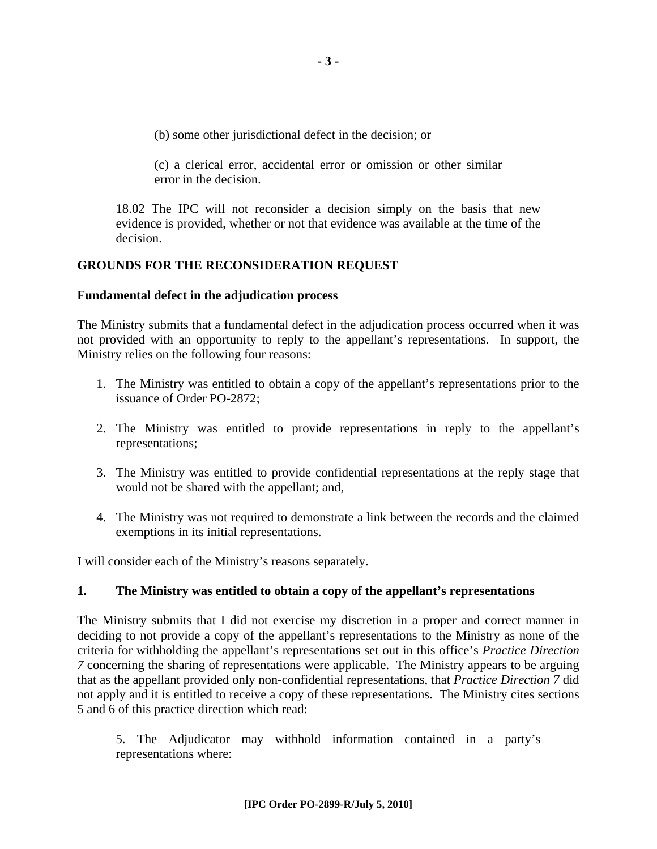(b) some other jurisdictional defect in the decision; or

(c) a clerical error, accidental error or omission or other similar error in the decision.

18.02 The IPC will not reconsider a decision simply on the basis that new evidence is provided, whether or not that evidence was available at the time of the decision.

#### **GROUNDS FOR THE RECONSIDERATION REQUEST**

#### **Fundamental defect in the adjudication process**

The Ministry submits that a fundamental defect in the adjudication process occurred when it was not provided with an opportunity to reply to the appellant's representations. In support, the Ministry relies on the following four reasons:

- 1. The Ministry was entitled to obtain a copy of the appellant's representations prior to the issuance of Order PO-2872;
- 2. The Ministry was entitled to provide representations in reply to the appellant's representations;
- 3. The Ministry was entitled to provide confidential representations at the reply stage that would not be shared with the appellant; and,
- 4. The Ministry was not required to demonstrate a link between the records and the claimed exemptions in its initial representations.

I will consider each of the Ministry's reasons separately.

#### **1. The Ministry was entitled to obtain a copy of the appellant's representations**

The Ministry submits that I did not exercise my discretion in a proper and correct manner in deciding to not provide a copy of the appellant's representations to the Ministry as none of the criteria for withholding the appellant's representations set out in this office's *Practice Direction 7* concerning the sharing of representations were applicable. The Ministry appears to be arguing that as the appellant provided only non-confidential representations, that *Practice Direction 7* did not apply and it is entitled to receive a copy of these representations. The Ministry cites sections 5 and 6 of this practice direction which read:

5. The Adjudicator may withhold information contained in a party's representations where: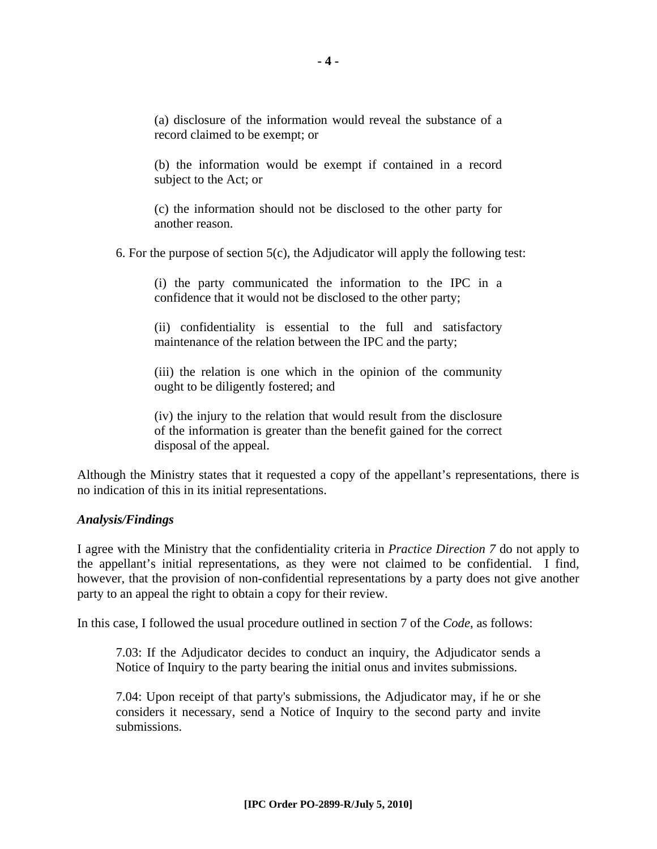(a) disclosure of the information would reveal the substance of a record claimed to be exempt; or

(b) the information would be exempt if contained in a record subject to the Act; or

(c) the information should not be disclosed to the other party for another reason.

6. For the purpose of section  $5(c)$ , the Adjudicator will apply the following test:

(i) the party communicated the information to the IPC in a confidence that it would not be disclosed to the other party;

(ii) confidentiality is essential to the full and satisfactory maintenance of the relation between the IPC and the party;

(iii) the relation is one which in the opinion of the community ought to be diligently fostered; and

(iv) the injury to the relation that would result from the disclosure of the information is greater than the benefit gained for the correct disposal of the appeal.

Although the Ministry states that it requested a copy of the appellant's representations, there is no indication of this in its initial representations.

#### *Analysis/Findings*

I agree with the Ministry that the confidentiality criteria in *Practice Direction 7* do not apply to the appellant's initial representations, as they were not claimed to be confidential. I find, however, that the provision of non-confidential representations by a party does not give another party to an appeal the right to obtain a copy for their review.

In this case, I followed the usual procedure outlined in section 7 of the *Code*, as follows:

7.03: If the Adjudicator decides to conduct an inquiry, the Adjudicator sends a Notice of Inquiry to the party bearing the initial onus and invites submissions.

7.04: Upon receipt of that party's submissions, the Adjudicator may, if he or she considers it necessary, send a Notice of Inquiry to the second party and invite submissions.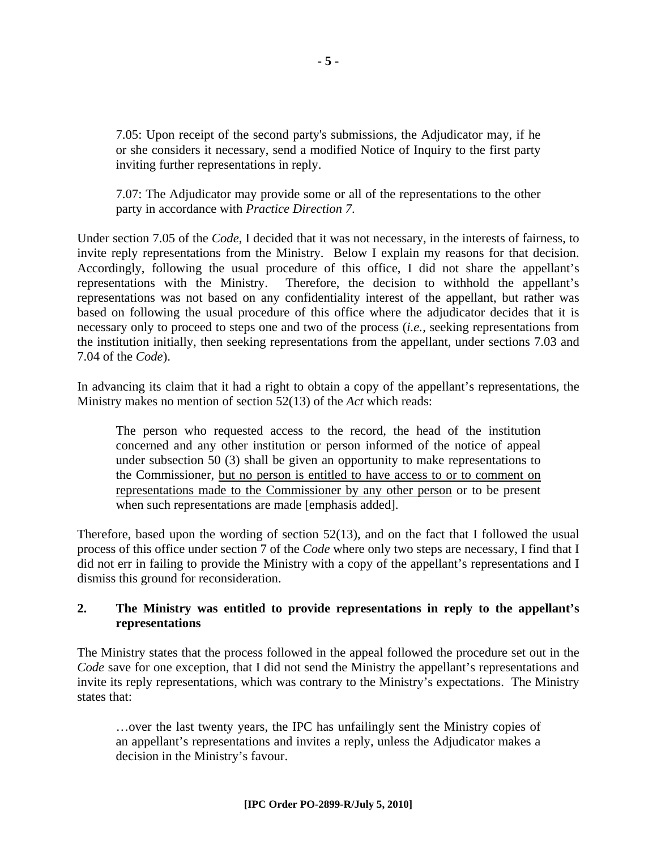7.05: Upon receipt of the second party's submissions, the Adjudicator may, if he or she considers it necessary, send a modified Notice of Inquiry to the first party inviting further representations in reply.

7.07: The Adjudicator may provide some or all of the representations to the other party in accordance with *Practice Direction 7*.

Under section 7.05 of the *Code*, I decided that it was not necessary, in the interests of fairness, to invite reply representations from the Ministry. Below I explain my reasons for that decision. Accordingly, following the usual procedure of this office, I did not share the appellant's representations with the Ministry. Therefore, the decision to withhold the appellant's representations was not based on any confidentiality interest of the appellant, but rather was based on following the usual procedure of this office where the adjudicator decides that it is necessary only to proceed to steps one and two of the process (*i.e.*, seeking representations from the institution initially, then seeking representations from the appellant, under sections 7.03 and 7.04 of the *Code*).

In advancing its claim that it had a right to obtain a copy of the appellant's representations, the Ministry makes no mention of section 52(13) of the *Act* which reads:

The person who requested access to the record, the head of the institution concerned and any other institution or person informed of the notice of appeal under subsection 50 (3) shall be given an opportunity to make representations to the Commissioner, but no person is entitled to have access to or to comment on representations made to the Commissioner by any other person or to be present when such representations are made [emphasis added].

Therefore, based upon the wording of section 52(13), and on the fact that I followed the usual process of this office under section 7 of the *Code* where only two steps are necessary, I find that I did not err in failing to provide the Ministry with a copy of the appellant's representations and I dismiss this ground for reconsideration.

#### **2. The Ministry was entitled to provide representations in reply to the appellant's representations**

The Ministry states that the process followed in the appeal followed the procedure set out in the *Code* save for one exception, that I did not send the Ministry the appellant's representations and invite its reply representations, which was contrary to the Ministry's expectations. The Ministry states that:

…over the last twenty years, the IPC has unfailingly sent the Ministry copies of an appellant's representations and invites a reply, unless the Adjudicator makes a decision in the Ministry's favour.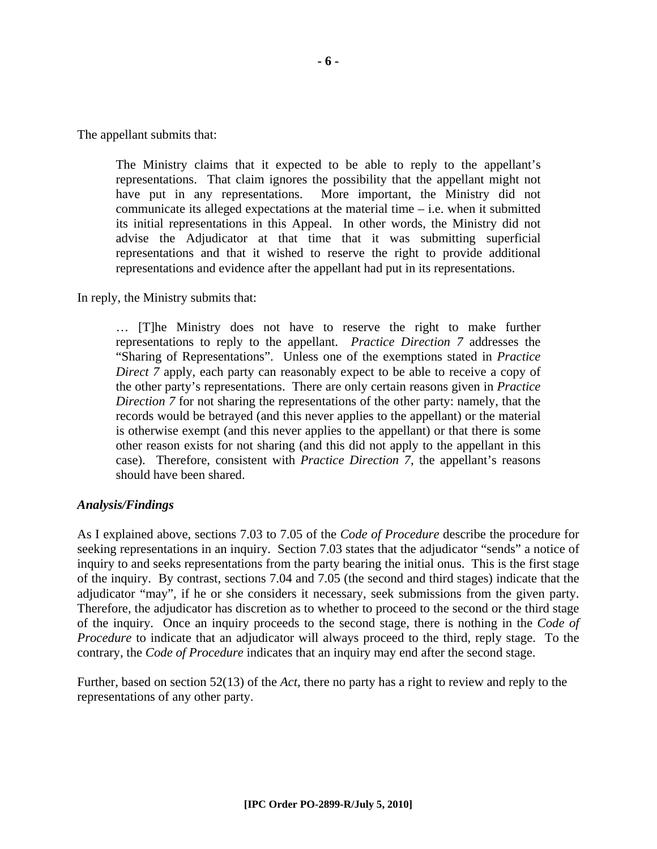The appellant submits that:

The Ministry claims that it expected to be able to reply to the appellant's representations. That claim ignores the possibility that the appellant might not have put in any representations. More important, the Ministry did not communicate its alleged expectations at the material time – i.e. when it submitted its initial representations in this Appeal. In other words, the Ministry did not advise the Adjudicator at that time that it was submitting superficial representations and that it wished to reserve the right to provide additional representations and evidence after the appellant had put in its representations.

In reply, the Ministry submits that:

… [T]he Ministry does not have to reserve the right to make further representations to reply to the appellant. *Practice Direction 7* addresses the "Sharing of Representations". Unless one of the exemptions stated in *Practice Direct 7* apply, each party can reasonably expect to be able to receive a copy of the other party's representations. There are only certain reasons given in *Practice Direction 7* for not sharing the representations of the other party: namely, that the records would be betrayed (and this never applies to the appellant) or the material is otherwise exempt (and this never applies to the appellant) or that there is some other reason exists for not sharing (and this did not apply to the appellant in this case). Therefore, consistent with *Practice Direction 7*, the appellant's reasons should have been shared.

#### *Analysis/Findings*

As I explained above, sections 7.03 to 7.05 of the *Code of Procedure* describe the procedure for seeking representations in an inquiry. Section 7.03 states that the adjudicator "sends" a notice of inquiry to and seeks representations from the party bearing the initial onus. This is the first stage of the inquiry. By contrast, sections 7.04 and 7.05 (the second and third stages) indicate that the adjudicator "may", if he or she considers it necessary, seek submissions from the given party. Therefore, the adjudicator has discretion as to whether to proceed to the second or the third stage of the inquiry. Once an inquiry proceeds to the second stage, there is nothing in the *Code of Procedure* to indicate that an adjudicator will always proceed to the third, reply stage. To the contrary, the *Code of Procedure* indicates that an inquiry may end after the second stage.

Further, based on section 52(13) of the *Act*, there no party has a right to review and reply to the representations of any other party.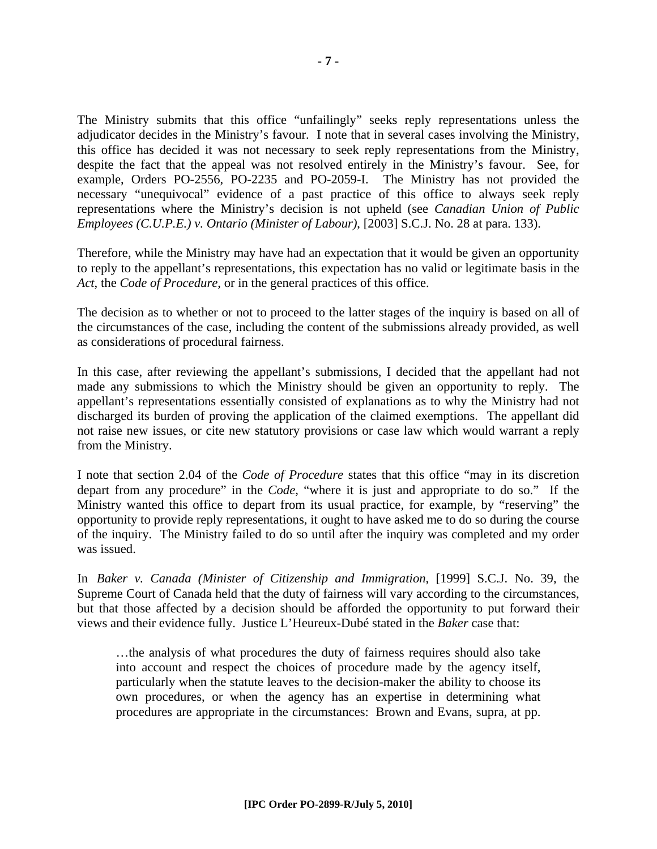The Ministry submits that this office "unfailingly" seeks reply representations unless the adjudicator decides in the Ministry's favour. I note that in several cases involving the Ministry, this office has decided it was not necessary to seek reply representations from the Ministry, despite the fact that the appeal was not resolved entirely in the Ministry's favour. See, for example, Orders PO-2556, PO-2235 and PO-2059-I. The Ministry has not provided the necessary "unequivocal" evidence of a past practice of this office to always seek reply representations where the Ministry's decision is not upheld (see *Canadian Union of Public Employees (C.U.P.E.) v. Ontario (Minister of Labour)*, [2003] S.C.J. No. 28 at para. 133).

Therefore, while the Ministry may have had an expectation that it would be given an opportunity to reply to the appellant's representations, this expectation has no valid or legitimate basis in the *Act*, the *Code of Procedure*, or in the general practices of this office.

The decision as to whether or not to proceed to the latter stages of the inquiry is based on all of the circumstances of the case, including the content of the submissions already provided, as well as considerations of procedural fairness.

In this case, after reviewing the appellant's submissions, I decided that the appellant had not made any submissions to which the Ministry should be given an opportunity to reply. The appellant's representations essentially consisted of explanations as to why the Ministry had not discharged its burden of proving the application of the claimed exemptions. The appellant did not raise new issues, or cite new statutory provisions or case law which would warrant a reply from the Ministry.

I note that section 2.04 of the *Code of Procedure* states that this office "may in its discretion depart from any procedure" in the *Code*, "where it is just and appropriate to do so." If the Ministry wanted this office to depart from its usual practice, for example, by "reserving" the opportunity to provide reply representations, it ought to have asked me to do so during the course of the inquiry. The Ministry failed to do so until after the inquiry was completed and my order was issued.

In *Baker v. Canada (Minister of Citizenship and Immigration*, [1999] S.C.J. No. 39, the Supreme Court of Canada held that the duty of fairness will vary according to the circumstances, but that those affected by a decision should be afforded the opportunity to put forward their views and their evidence fully. Justice L'Heureux-Dubé stated in the *Baker* case that:

…the analysis of what procedures the duty of fairness requires should also take into account and respect the choices of procedure made by the agency itself, particularly when the statute leaves to the decision-maker the ability to choose its own procedures, or when the agency has an expertise in determining what procedures are appropriate in the circumstances: Brown and Evans, supra, at pp.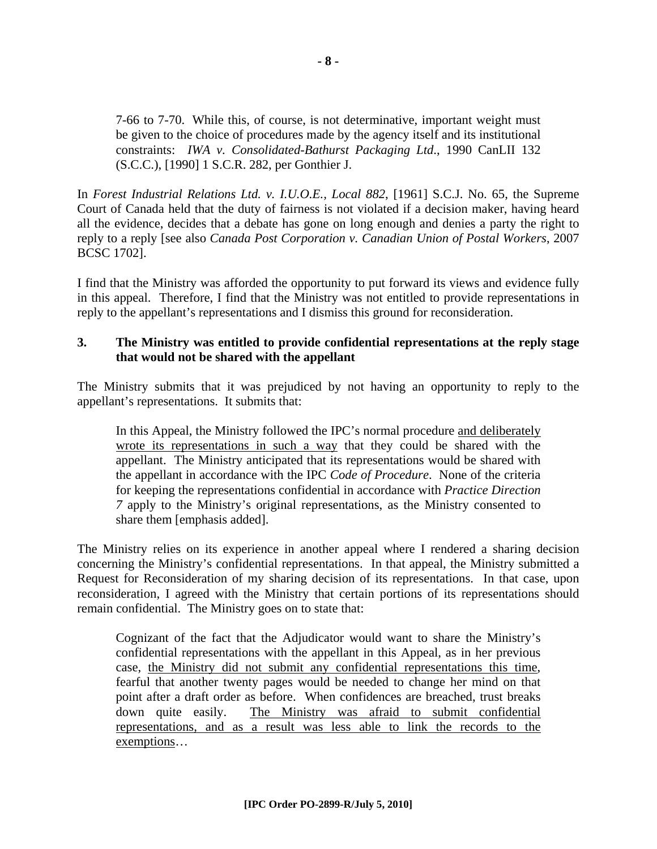7-66 to 7-70. While this, of course, is not determinative, important weight must be given to the choice of procedures made by the agency itself and its institutional constraints: *IWA v. Consolidated-Bathurst Packaging Ltd*., 1990 CanLII 132 (S.C.C.), [1990] 1 S.C.R. 282, per Gonthier J.

In *Forest Industrial Relations Ltd. v. I.U.O.E., Local 882*, [1961] S.C.J. No. 65, the Supreme Court of Canada held that the duty of fairness is not violated if a decision maker, having heard all the evidence, decides that a debate has gone on long enough and denies a party the right to reply to a reply [see also *Canada Post Corporation v. Canadian Union of Postal Workers*, 2007 BCSC 1702].

I find that the Ministry was afforded the opportunity to put forward its views and evidence fully in this appeal. Therefore, I find that the Ministry was not entitled to provide representations in reply to the appellant's representations and I dismiss this ground for reconsideration.

#### **3. The Ministry was entitled to provide confidential representations at the reply stage that would not be shared with the appellant**

The Ministry submits that it was prejudiced by not having an opportunity to reply to the appellant's representations. It submits that:

In this Appeal, the Ministry followed the IPC's normal procedure and deliberately wrote its representations in such a way that they could be shared with the appellant. The Ministry anticipated that its representations would be shared with the appellant in accordance with the IPC *Code of Procedure*. None of the criteria for keeping the representations confidential in accordance with *Practice Direction 7* apply to the Ministry's original representations, as the Ministry consented to share them [emphasis added].

The Ministry relies on its experience in another appeal where I rendered a sharing decision concerning the Ministry's confidential representations. In that appeal, the Ministry submitted a Request for Reconsideration of my sharing decision of its representations. In that case, upon reconsideration, I agreed with the Ministry that certain portions of its representations should remain confidential. The Ministry goes on to state that:

Cognizant of the fact that the Adjudicator would want to share the Ministry's confidential representations with the appellant in this Appeal, as in her previous case, the Ministry did not submit any confidential representations this time, fearful that another twenty pages would be needed to change her mind on that point after a draft order as before. When confidences are breached, trust breaks down quite easily. The Ministry was afraid to submit confidential representations, and as a result was less able to link the records to the exemptions…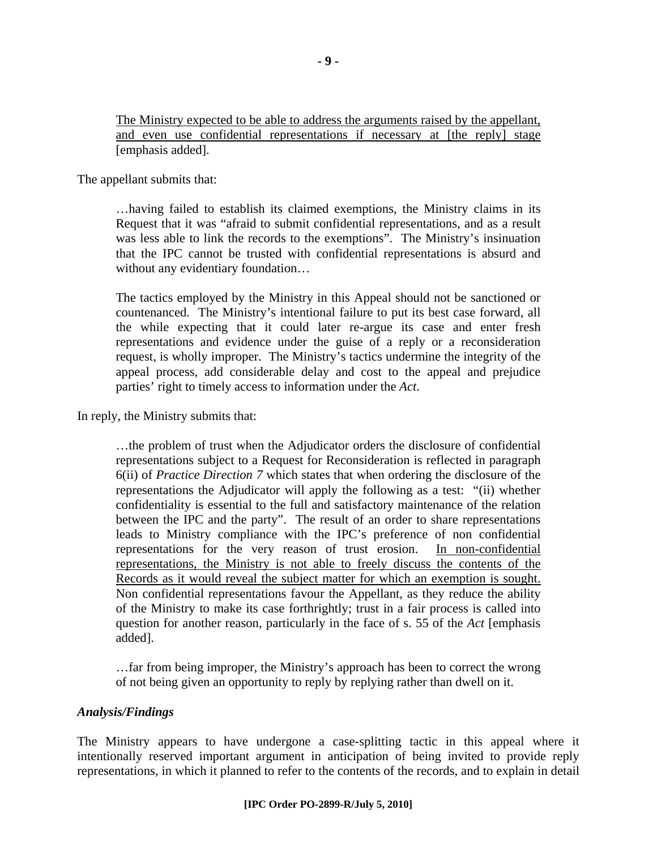The Ministry expected to be able to address the arguments raised by the appellant, and even use confidential representations if necessary at [the reply] stage [emphasis added].

The appellant submits that:

…having failed to establish its claimed exemptions, the Ministry claims in its Request that it was "afraid to submit confidential representations, and as a result was less able to link the records to the exemptions". The Ministry's insinuation that the IPC cannot be trusted with confidential representations is absurd and without any evidentiary foundation…

The tactics employed by the Ministry in this Appeal should not be sanctioned or countenanced. The Ministry's intentional failure to put its best case forward, all the while expecting that it could later re-argue its case and enter fresh representations and evidence under the guise of a reply or a reconsideration request, is wholly improper. The Ministry's tactics undermine the integrity of the appeal process, add considerable delay and cost to the appeal and prejudice parties' right to timely access to information under the *Act*.

In reply, the Ministry submits that:

…the problem of trust when the Adjudicator orders the disclosure of confidential representations subject to a Request for Reconsideration is reflected in paragraph 6(ii) of *Practice Direction 7* which states that when ordering the disclosure of the representations the Adjudicator will apply the following as a test: "(ii) whether confidentiality is essential to the full and satisfactory maintenance of the relation between the IPC and the party". The result of an order to share representations leads to Ministry compliance with the IPC's preference of non confidential representations for the very reason of trust erosion. In non-confidential representations, the Ministry is not able to freely discuss the contents of the Records as it would reveal the subject matter for which an exemption is sought. Non confidential representations favour the Appellant, as they reduce the ability of the Ministry to make its case forthrightly; trust in a fair process is called into question for another reason, particularly in the face of s. 55 of the *Act* [emphasis added].

…far from being improper, the Ministry's approach has been to correct the wrong of not being given an opportunity to reply by replying rather than dwell on it.

#### *Analysis/Findings*

The Ministry appears to have undergone a case-splitting tactic in this appeal where it intentionally reserved important argument in anticipation of being invited to provide reply representations, in which it planned to refer to the contents of the records, and to explain in detail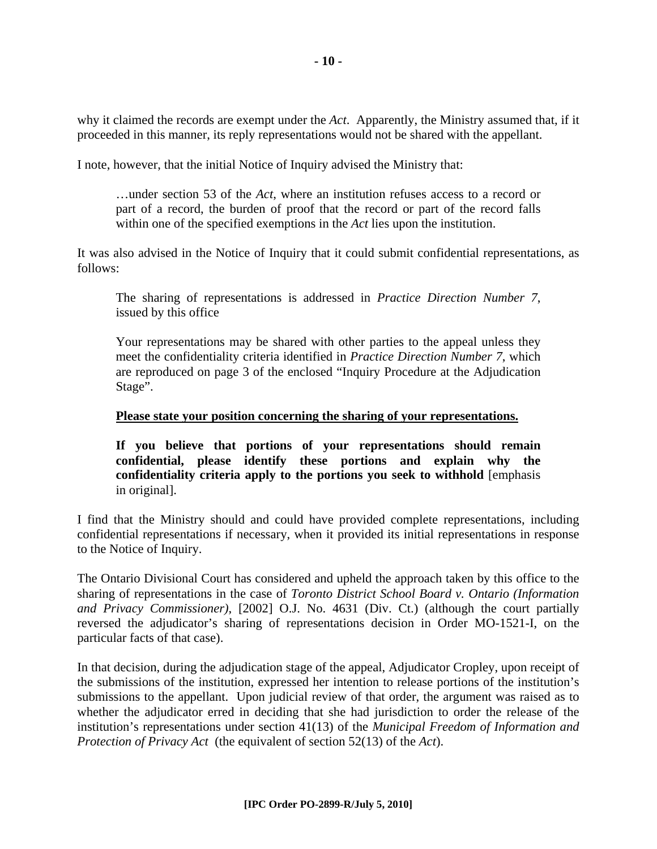why it claimed the records are exempt under the *Act*. Apparently, the Ministry assumed that, if it proceeded in this manner, its reply representations would not be shared with the appellant.

I note, however, that the initial Notice of Inquiry advised the Ministry that:

…under section 53 of the *Act*, where an institution refuses access to a record or part of a record, the burden of proof that the record or part of the record falls within one of the specified exemptions in the *Act* lies upon the institution.

It was also advised in the Notice of Inquiry that it could submit confidential representations, as follows:

The sharing of representations is addressed in *Practice Direction Number 7*, issued by this office

Your representations may be shared with other parties to the appeal unless they meet the confidentiality criteria identified in *Practice Direction Number 7*, which are reproduced on page 3 of the enclosed "Inquiry Procedure at the Adjudication Stage".

#### **Please state your position concerning the sharing of your representations.**

**If you believe that portions of your representations should remain confidential, please identify these portions and explain why the confidentiality criteria apply to the portions you seek to withhold** [emphasis in original].

I find that the Ministry should and could have provided complete representations, including confidential representations if necessary, when it provided its initial representations in response to the Notice of Inquiry.

The Ontario Divisional Court has considered and upheld the approach taken by this office to the sharing of representations in the case of *Toronto District School Board v. Ontario (Information and Privacy Commissioner)*, [2002] O.J. No. 4631 (Div. Ct.) (although the court partially reversed the adjudicator's sharing of representations decision in Order MO-1521-I, on the particular facts of that case).

In that decision, during the adjudication stage of the appeal, Adjudicator Cropley, upon receipt of the submissions of the institution, expressed her intention to release portions of the institution's submissions to the appellant. Upon judicial review of that order, the argument was raised as to whether the adjudicator erred in deciding that she had jurisdiction to order the release of the institution's representations under section 41(13) of the *Municipal Freedom of Information and Protection of Privacy Act* (the equivalent of section 52(13) of the *Act*).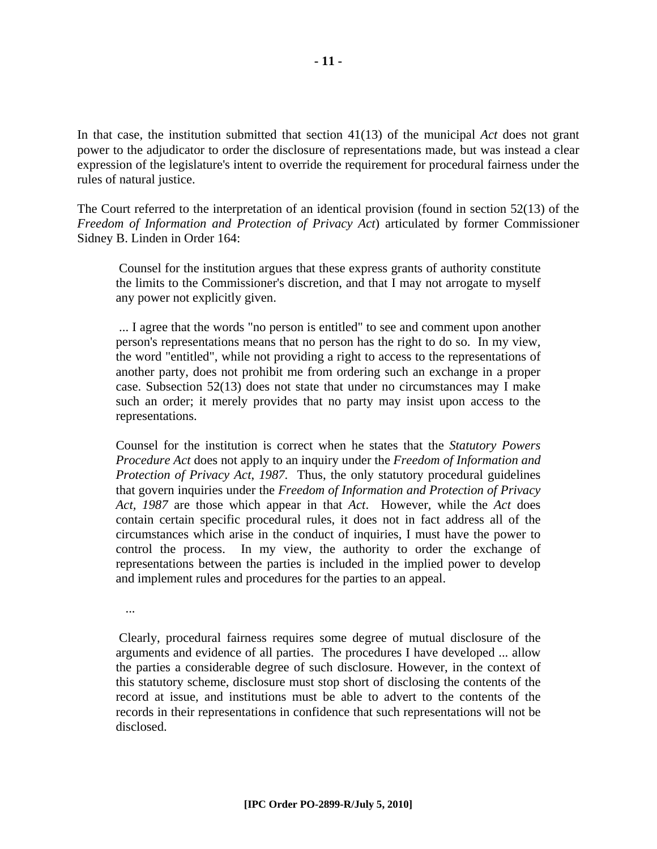In that case, the institution submitted that section 41(13) of the municipal *Act* does not grant power to the adjudicator to order the disclosure of representations made, but was instead a clear expression of the legislature's intent to override the requirement for procedural fairness under the rules of natural justice.

The Court referred to the interpretation of an identical provision (found in section 52(13) of the *Freedom of Information and Protection of Privacy Act*) articulated by former Commissioner Sidney B. Linden in Order 164:

 Counsel for the institution argues that these express grants of authority constitute the limits to the Commissioner's discretion, and that I may not arrogate to myself any power not explicitly given.

 ... I agree that the words "no person is entitled" to see and comment upon another person's representations means that no person has the right to do so. In my view, the word "entitled", while not providing a right to access to the representations of another party, does not prohibit me from ordering such an exchange in a proper case. Subsection 52(13) does not state that under no circumstances may I make such an order; it merely provides that no party may insist upon access to the representations.

Counsel for the institution is correct when he states that the *Statutory Powers Procedure Act* does not apply to an inquiry under the *Freedom of Information and Protection of Privacy Act*, *1987*. Thus, the only statutory procedural guidelines that govern inquiries under the *Freedom of Information and Protection of Privacy Act, 1987* are those which appear in that *Act*. However, while the *Act* does contain certain specific procedural rules, it does not in fact address all of the circumstances which arise in the conduct of inquiries, I must have the power to control the process. In my view, the authority to order the exchange of representations between the parties is included in the implied power to develop and implement rules and procedures for the parties to an appeal.

...

 Clearly, procedural fairness requires some degree of mutual disclosure of the arguments and evidence of all parties. The procedures I have developed ... allow the parties a considerable degree of such disclosure. However, in the context of this statutory scheme, disclosure must stop short of disclosing the contents of the record at issue, and institutions must be able to advert to the contents of the records in their representations in confidence that such representations will not be disclosed.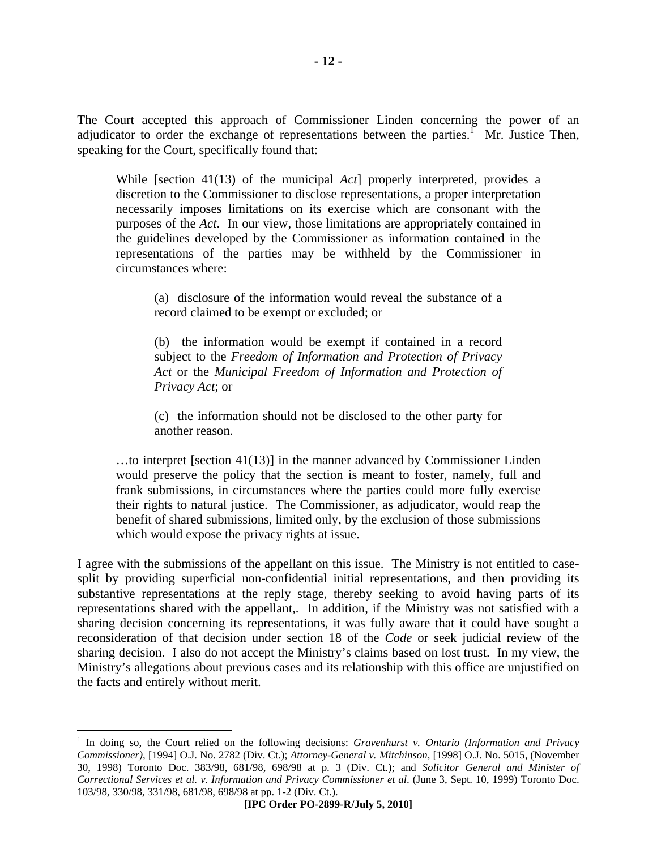The Court accepted this approach of Commissioner Linden concerning the power of an adjudicator to order the exchange of representations between the parties.<sup> $\Gamma$ </sup> Mr. Justice Then, speaking for the Court, specifically found that:

While [section 41(13) of the municipal *Act*] properly interpreted, provides a discretion to the Commissioner to disclose representations, a proper interpretation necessarily imposes limitations on its exercise which are consonant with the purposes of the *Act*. In our view, those limitations are appropriately contained in the guidelines developed by the Commissioner as information contained in the representations of the parties may be withheld by the Commissioner in circumstances where:

(a) disclosure of the information would reveal the substance of a record claimed to be exempt or excluded; or

(b) the information would be exempt if contained in a record subject to the *Freedom of Information and Protection of Privacy Act* or the *Municipal Freedom of Information and Protection of Privacy Act*; or

(c) the information should not be disclosed to the other party for another reason.

…to interpret [section 41(13)] in the manner advanced by Commissioner Linden would preserve the policy that the section is meant to foster, namely, full and frank submissions, in circumstances where the parties could more fully exercise their rights to natural justice. The Commissioner, as adjudicator, would reap the benefit of shared submissions, limited only, by the exclusion of those submissions which would expose the privacy rights at issue.

I agree with the submissions of the appellant on this issue. The Ministry is not entitled to casesplit by providing superficial non-confidential initial representations, and then providing its substantive representations at the reply stage, thereby seeking to avoid having parts of its representations shared with the appellant,. In addition, if the Ministry was not satisfied with a sharing decision concerning its representations, it was fully aware that it could have sought a reconsideration of that decision under section 18 of the *Code* or seek judicial review of the sharing decision. I also do not accept the Ministry's claims based on lost trust. In my view, the Ministry's allegations about previous cases and its relationship with this office are unjustified on the facts and entirely without merit.

 $\overline{a}$ 

<sup>&</sup>lt;sup>1</sup> In doing so, the Court relied on the following decisions: *Gravenhurst v. Ontario (Information and Privacy Commissioner)*, [1994] O.J. No. 2782 (Div. Ct.); *Attorney-General v. Mitchinson*, [1998] O.J. No. 5015, (November 30, 1998) Toronto Doc. 383/98, 681/98, 698/98 at p. 3 (Div. Ct.); and *Solicitor General and Minister of Correctional Services et al. v. Information and Privacy Commissioner et al*. (June 3, Sept. 10, 1999) Toronto Doc. 103/98, 330/98, 331/98, 681/98, 698/98 at pp. 1-2 (Div. Ct.).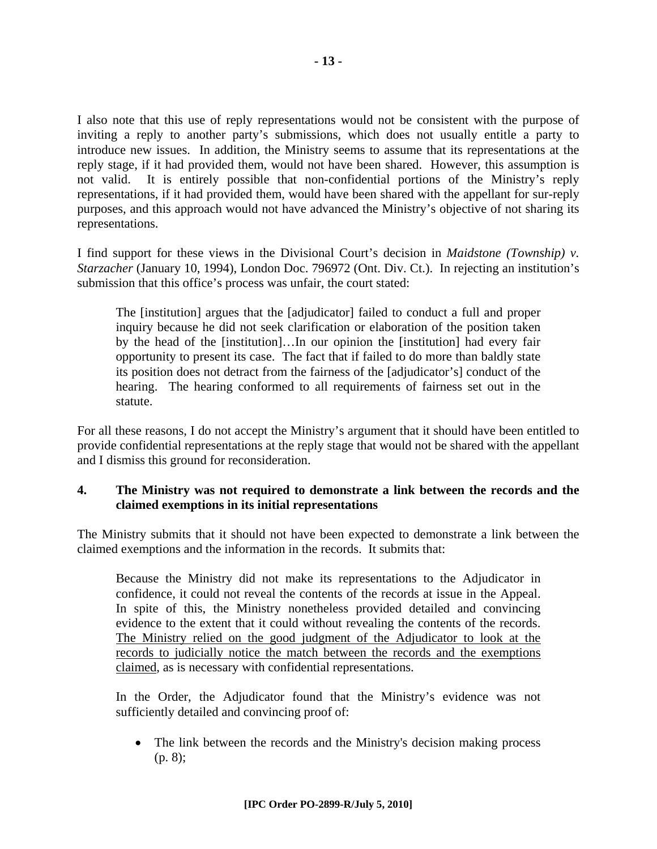I also note that this use of reply representations would not be consistent with the purpose of inviting a reply to another party's submissions, which does not usually entitle a party to introduce new issues. In addition, the Ministry seems to assume that its representations at the reply stage, if it had provided them, would not have been shared. However, this assumption is not valid. It is entirely possible that non-confidential portions of the Ministry's reply representations, if it had provided them, would have been shared with the appellant for sur-reply purposes, and this approach would not have advanced the Ministry's objective of not sharing its representations.

I find support for these views in the Divisional Court's decision in *Maidstone (Township) v. Starzacher* (January 10, 1994), London Doc. 796972 (Ont. Div. Ct.). In rejecting an institution's submission that this office's process was unfair, the court stated:

The [institution] argues that the [adjudicator] failed to conduct a full and proper inquiry because he did not seek clarification or elaboration of the position taken by the head of the [institution]…In our opinion the [institution] had every fair opportunity to present its case. The fact that if failed to do more than baldly state its position does not detract from the fairness of the [adjudicator's] conduct of the hearing. The hearing conformed to all requirements of fairness set out in the statute.

For all these reasons, I do not accept the Ministry's argument that it should have been entitled to provide confidential representations at the reply stage that would not be shared with the appellant and I dismiss this ground for reconsideration.

#### **4. The Ministry was not required to demonstrate a link between the records and the claimed exemptions in its initial representations**

The Ministry submits that it should not have been expected to demonstrate a link between the claimed exemptions and the information in the records. It submits that:

Because the Ministry did not make its representations to the Adjudicator in confidence, it could not reveal the contents of the records at issue in the Appeal. In spite of this, the Ministry nonetheless provided detailed and convincing evidence to the extent that it could without revealing the contents of the records. The Ministry relied on the good judgment of the Adjudicator to look at the records to judicially notice the match between the records and the exemptions claimed, as is necessary with confidential representations.

In the Order, the Adjudicator found that the Ministry's evidence was not sufficiently detailed and convincing proof of:

• The link between the records and the Ministry's decision making process (p. 8);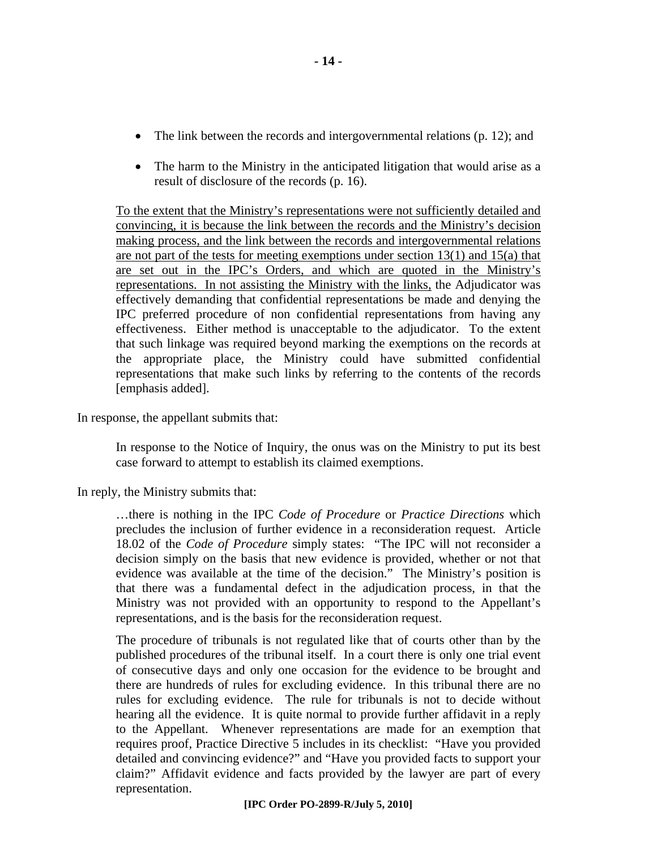- The link between the records and intergovernmental relations (p. 12); and
- The harm to the Ministry in the anticipated litigation that would arise as a result of disclosure of the records (p. 16).

To the extent that the Ministry's representations were not sufficiently detailed and convincing, it is because the link between the records and the Ministry's decision making process, and the link between the records and intergovernmental relations are not part of the tests for meeting exemptions under section 13(1) and 15(a) that are set out in the IPC's Orders, and which are quoted in the Ministry's representations. In not assisting the Ministry with the links, the Adjudicator was effectively demanding that confidential representations be made and denying the IPC preferred procedure of non confidential representations from having any effectiveness. Either method is unacceptable to the adjudicator. To the extent that such linkage was required beyond marking the exemptions on the records at the appropriate place, the Ministry could have submitted confidential representations that make such links by referring to the contents of the records [emphasis added].

In response, the appellant submits that:

In response to the Notice of Inquiry, the onus was on the Ministry to put its best case forward to attempt to establish its claimed exemptions.

In reply, the Ministry submits that:

…there is nothing in the IPC *Code of Procedure* or *Practice Directions* which precludes the inclusion of further evidence in a reconsideration request. Article 18.02 of the *Code of Procedure* simply states: "The IPC will not reconsider a decision simply on the basis that new evidence is provided, whether or not that evidence was available at the time of the decision." The Ministry's position is that there was a fundamental defect in the adjudication process, in that the Ministry was not provided with an opportunity to respond to the Appellant's representations, and is the basis for the reconsideration request.

The procedure of tribunals is not regulated like that of courts other than by the published procedures of the tribunal itself. In a court there is only one trial event of consecutive days and only one occasion for the evidence to be brought and there are hundreds of rules for excluding evidence. In this tribunal there are no rules for excluding evidence. The rule for tribunals is not to decide without hearing all the evidence. It is quite normal to provide further affidavit in a reply to the Appellant. Whenever representations are made for an exemption that requires proof, Practice Directive 5 includes in its checklist: "Have you provided detailed and convincing evidence?" and "Have you provided facts to support your claim?" Affidavit evidence and facts provided by the lawyer are part of every representation.

**- 14 -**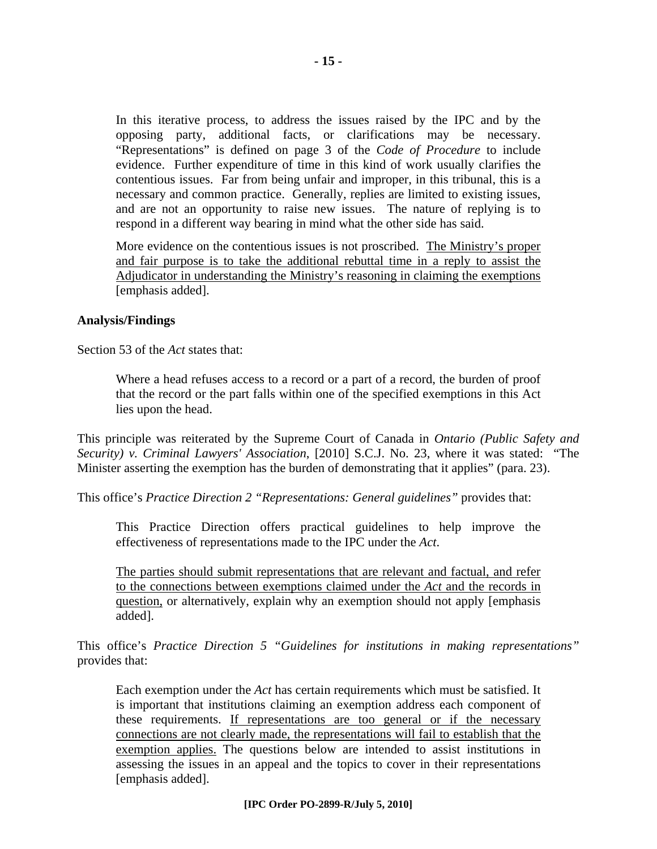In this iterative process, to address the issues raised by the IPC and by the opposing party, additional facts, or clarifications may be necessary. "Representations" is defined on page 3 of the *Code of Procedure* to include evidence. Further expenditure of time in this kind of work usually clarifies the contentious issues. Far from being unfair and improper, in this tribunal, this is a necessary and common practice. Generally, replies are limited to existing issues, and are not an opportunity to raise new issues. The nature of replying is to respond in a different way bearing in mind what the other side has said.

More evidence on the contentious issues is not proscribed. The Ministry's proper and fair purpose is to take the additional rebuttal time in a reply to assist the Adjudicator in understanding the Ministry's reasoning in claiming the exemptions [emphasis added].

#### **Analysis/Findings**

Section 53 of the *Act* states that:

Where a head refuses access to a record or a part of a record, the burden of proof that the record or the part falls within one of the specified exemptions in this Act lies upon the head.

This principle was reiterated by the Supreme Court of Canada in *Ontario (Public Safety and Security) v. Criminal Lawyers' Association*, [2010] S.C.J. No. 23, where it was stated: "The Minister asserting the exemption has the burden of demonstrating that it applies" (para. 23).

This office's *Practice Direction 2 "Representations: General guidelines"* provides that:

This Practice Direction offers practical guidelines to help improve the effectiveness of representations made to the IPC under the *Act*.

The parties should submit representations that are relevant and factual, and refer to the connections between exemptions claimed under the *Act* and the records in question, or alternatively, explain why an exemption should not apply [emphasis added].

This office's *Practice Direction 5 "Guidelines for institutions in making representations"* provides that:

Each exemption under the *Act* has certain requirements which must be satisfied. It is important that institutions claiming an exemption address each component of these requirements. If representations are too general or if the necessary connections are not clearly made, the representations will fail to establish that the exemption applies. The questions below are intended to assist institutions in assessing the issues in an appeal and the topics to cover in their representations [emphasis added].

#### **[IPC Order PO-2899-R/July 5, 2010]**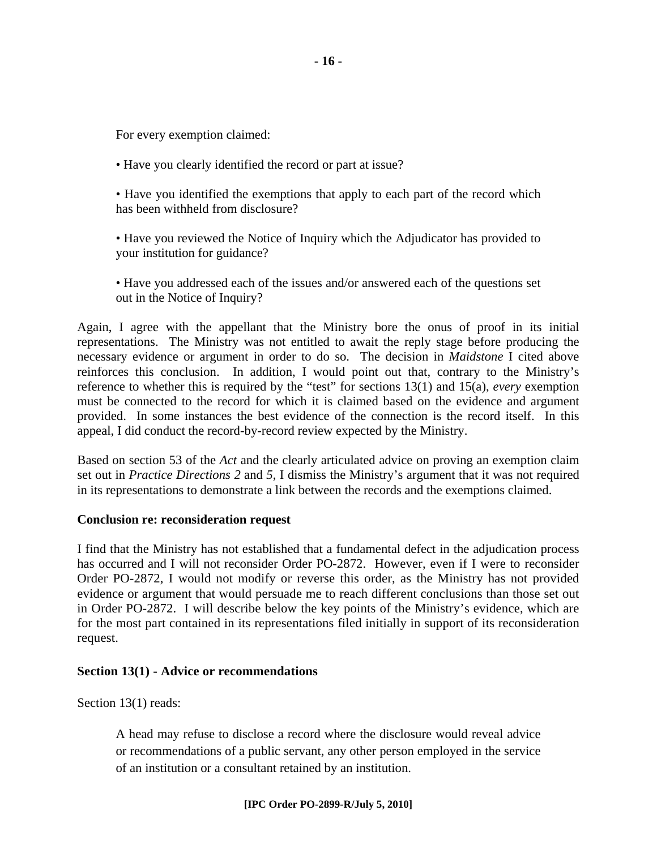For every exemption claimed:

• Have you clearly identified the record or part at issue?

• Have you identified the exemptions that apply to each part of the record which has been withheld from disclosure?

• Have you reviewed the Notice of Inquiry which the Adjudicator has provided to your institution for guidance?

• Have you addressed each of the issues and/or answered each of the questions set out in the Notice of Inquiry?

Again, I agree with the appellant that the Ministry bore the onus of proof in its initial representations. The Ministry was not entitled to await the reply stage before producing the necessary evidence or argument in order to do so. The decision in *Maidstone* I cited above reinforces this conclusion. In addition, I would point out that, contrary to the Ministry's reference to whether this is required by the "test" for sections 13(1) and 15(a), *every* exemption must be connected to the record for which it is claimed based on the evidence and argument provided. In some instances the best evidence of the connection is the record itself. In this appeal, I did conduct the record-by-record review expected by the Ministry.

Based on section 53 of the *Act* and the clearly articulated advice on proving an exemption claim set out in *Practice Directions 2* and *5*, I dismiss the Ministry's argument that it was not required in its representations to demonstrate a link between the records and the exemptions claimed.

#### **Conclusion re: reconsideration request**

I find that the Ministry has not established that a fundamental defect in the adjudication process has occurred and I will not reconsider Order PO-2872. However, even if I were to reconsider Order PO-2872, I would not modify or reverse this order, as the Ministry has not provided evidence or argument that would persuade me to reach different conclusions than those set out in Order PO-2872. I will describe below the key points of the Ministry's evidence, which are for the most part contained in its representations filed initially in support of its reconsideration request.

#### **Section 13(1) - Advice or recommendations**

Section 13(1) reads:

A head may refuse to disclose a record where the disclosure would reveal advice or recommendations of a public servant, any other person employed in the service of an institution or a consultant retained by an institution.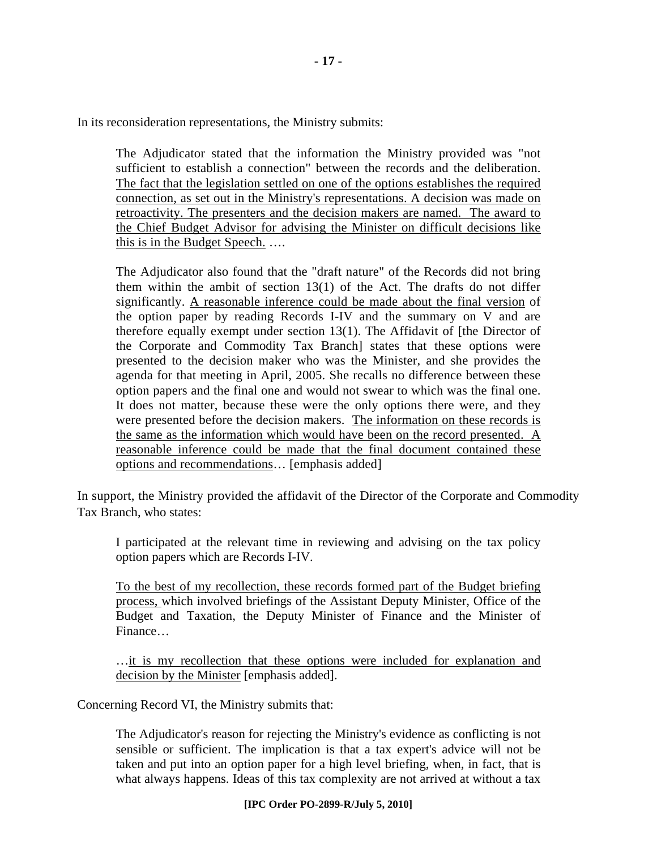In its reconsideration representations, the Ministry submits:

The Adjudicator stated that the information the Ministry provided was "not sufficient to establish a connection" between the records and the deliberation. The fact that the legislation settled on one of the options establishes the required connection, as set out in the Ministry's representations. A decision was made on retroactivity. The presenters and the decision makers are named. The award to the Chief Budget Advisor for advising the Minister on difficult decisions like this is in the Budget Speech. ….

The Adjudicator also found that the "draft nature" of the Records did not bring them within the ambit of section 13(1) of the Act. The drafts do not differ significantly. A reasonable inference could be made about the final version of the option paper by reading Records I-IV and the summary on V and are therefore equally exempt under section 13(1). The Affidavit of [the Director of the Corporate and Commodity Tax Branch] states that these options were presented to the decision maker who was the Minister, and she provides the agenda for that meeting in April, 2005. She recalls no difference between these option papers and the final one and would not swear to which was the final one. It does not matter, because these were the only options there were, and they were presented before the decision makers. The information on these records is the same as the information which would have been on the record presented. A reasonable inference could be made that the final document contained these options and recommendations… [emphasis added]

In support, the Ministry provided the affidavit of the Director of the Corporate and Commodity Tax Branch, who states:

I participated at the relevant time in reviewing and advising on the tax policy option papers which are Records I-IV.

To the best of my recollection, these records formed part of the Budget briefing process, which involved briefings of the Assistant Deputy Minister, Office of the Budget and Taxation, the Deputy Minister of Finance and the Minister of Finance…

…it is my recollection that these options were included for explanation and decision by the Minister [emphasis added].

Concerning Record VI, the Ministry submits that:

The Adjudicator's reason for rejecting the Ministry's evidence as conflicting is not sensible or sufficient. The implication is that a tax expert's advice will not be taken and put into an option paper for a high level briefing, when, in fact, that is what always happens. Ideas of this tax complexity are not arrived at without a tax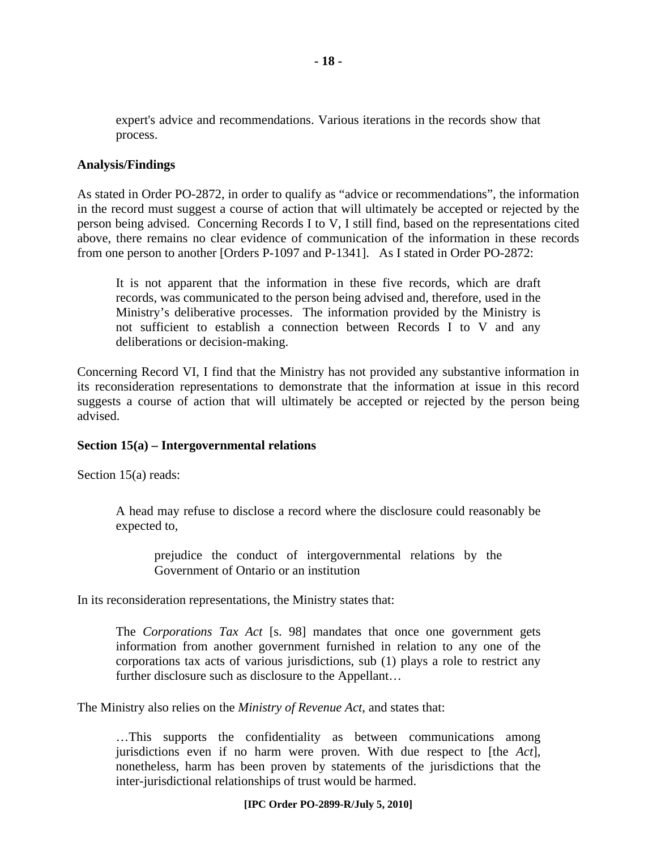expert's advice and recommendations. Various iterations in the records show that process.

#### **Analysis/Findings**

As stated in Order PO-2872, in order to qualify as "advice or recommendations", the information in the record must suggest a course of action that will ultimately be accepted or rejected by the person being advised. Concerning Records I to V, I still find, based on the representations cited above, there remains no clear evidence of communication of the information in these records from one person to another [Orders P-1097 and P-1341]. As I stated in Order PO-2872:

It is not apparent that the information in these five records, which are draft records, was communicated to the person being advised and, therefore, used in the Ministry's deliberative processes. The information provided by the Ministry is not sufficient to establish a connection between Records I to V and any deliberations or decision-making.

Concerning Record VI, I find that the Ministry has not provided any substantive information in its reconsideration representations to demonstrate that the information at issue in this record suggests a course of action that will ultimately be accepted or rejected by the person being advised.

#### **Section 15(a) – Intergovernmental relations**

Section 15(a) reads:

A head may refuse to disclose a record where the disclosure could reasonably be expected to,

prejudice the conduct of intergovernmental relations by the Government of Ontario or an institution

In its reconsideration representations, the Ministry states that:

The *Corporations Tax Act* [s. 98] mandates that once one government gets information from another government furnished in relation to any one of the corporations tax acts of various jurisdictions, sub (1) plays a role to restrict any further disclosure such as disclosure to the Appellant…

The Ministry also relies on the *Ministry of Revenue Act*, and states that:

…This supports the confidentiality as between communications among jurisdictions even if no harm were proven. With due respect to [the *Act*], nonetheless, harm has been proven by statements of the jurisdictions that the inter-jurisdictional relationships of trust would be harmed.

#### **[IPC Order PO-2899-R/July 5, 2010]**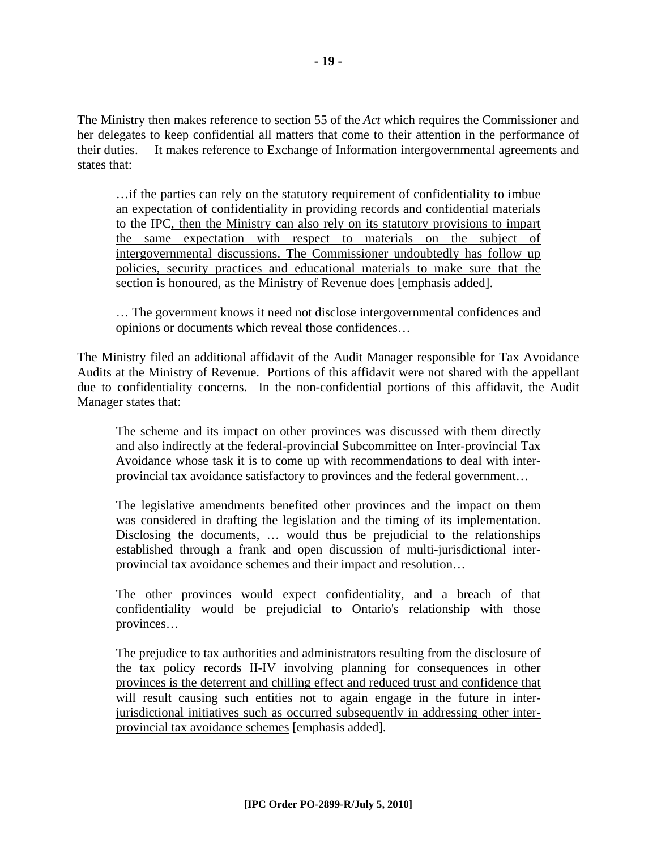The Ministry then makes reference to section 55 of the *Act* which requires the Commissioner and her delegates to keep confidential all matters that come to their attention in the performance of their duties. It makes reference to Exchange of Information intergovernmental agreements and states that:

…if the parties can rely on the statutory requirement of confidentiality to imbue an expectation of confidentiality in providing records and confidential materials to the IPC, then the Ministry can also rely on its statutory provisions to impart the same expectation with respect to materials on the subject of intergovernmental discussions. The Commissioner undoubtedly has follow up policies, security practices and educational materials to make sure that the section is honoured, as the Ministry of Revenue does [emphasis added].

… The government knows it need not disclose intergovernmental confidences and opinions or documents which reveal those confidences…

The Ministry filed an additional affidavit of the Audit Manager responsible for Tax Avoidance Audits at the Ministry of Revenue. Portions of this affidavit were not shared with the appellant due to confidentiality concerns. In the non-confidential portions of this affidavit, the Audit Manager states that:

The scheme and its impact on other provinces was discussed with them directly and also indirectly at the federal-provincial Subcommittee on Inter-provincial Tax Avoidance whose task it is to come up with recommendations to deal with interprovincial tax avoidance satisfactory to provinces and the federal government…

The legislative amendments benefited other provinces and the impact on them was considered in drafting the legislation and the timing of its implementation. Disclosing the documents, … would thus be prejudicial to the relationships established through a frank and open discussion of multi-jurisdictional interprovincial tax avoidance schemes and their impact and resolution…

The other provinces would expect confidentiality, and a breach of that confidentiality would be prejudicial to Ontario's relationship with those provinces…

The prejudice to tax authorities and administrators resulting from the disclosure of the tax policy records II-IV involving planning for consequences in other provinces is the deterrent and chilling effect and reduced trust and confidence that will result causing such entities not to again engage in the future in interjurisdictional initiatives such as occurred subsequently in addressing other interprovincial tax avoidance schemes [emphasis added].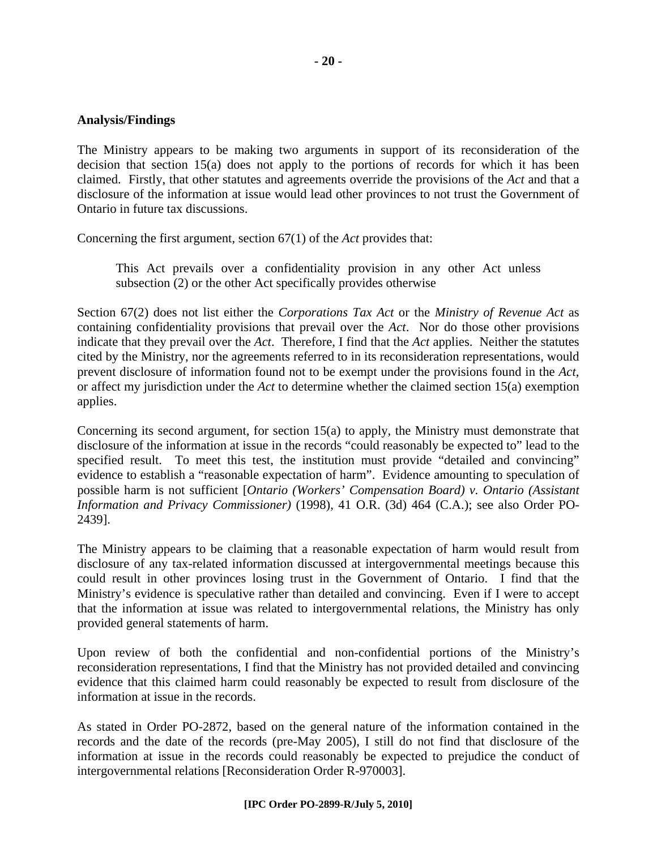#### **Analysis/Findings**

The Ministry appears to be making two arguments in support of its reconsideration of the decision that section 15(a) does not apply to the portions of records for which it has been claimed. Firstly, that other statutes and agreements override the provisions of the *Act* and that a disclosure of the information at issue would lead other provinces to not trust the Government of Ontario in future tax discussions.

Concerning the first argument, section 67(1) of the *Act* provides that:

This Act prevails over a confidentiality provision in any other Act unless subsection (2) or the other Act specifically provides otherwise

Section 67(2) does not list either the *Corporations Tax Act* or the *Ministry of Revenue Act* as containing confidentiality provisions that prevail over the *Act*. Nor do those other provisions indicate that they prevail over the *Act*.Therefore, I find that the *Act* applies. Neither the statutes cited by the Ministry, nor the agreements referred to in its reconsideration representations, would prevent disclosure of information found not to be exempt under the provisions found in the *Act*, or affect my jurisdiction under the *Act* to determine whether the claimed section 15(a) exemption applies.

Concerning its second argument, for section 15(a) to apply, the Ministry must demonstrate that disclosure of the information at issue in the records "could reasonably be expected to" lead to the specified result. To meet this test, the institution must provide "detailed and convincing" evidence to establish a "reasonable expectation of harm". Evidence amounting to speculation of possible harm is not sufficient [*Ontario (Workers' Compensation Board) v. Ontario (Assistant Information and Privacy Commissioner)* (1998), 41 O.R. (3d) 464 (C.A.); see also Order PO-2439].

The Ministry appears to be claiming that a reasonable expectation of harm would result from disclosure of any tax-related information discussed at intergovernmental meetings because this could result in other provinces losing trust in the Government of Ontario. I find that the Ministry's evidence is speculative rather than detailed and convincing. Even if I were to accept that the information at issue was related to intergovernmental relations, the Ministry has only provided general statements of harm.

Upon review of both the confidential and non-confidential portions of the Ministry's reconsideration representations, I find that the Ministry has not provided detailed and convincing evidence that this claimed harm could reasonably be expected to result from disclosure of the information at issue in the records.

As stated in Order PO-2872, based on the general nature of the information contained in the records and the date of the records (pre-May 2005), I still do not find that disclosure of the information at issue in the records could reasonably be expected to prejudice the conduct of intergovernmental relations [Reconsideration Order R-970003].

#### **[IPC Order PO-2899-R/July 5, 2010]**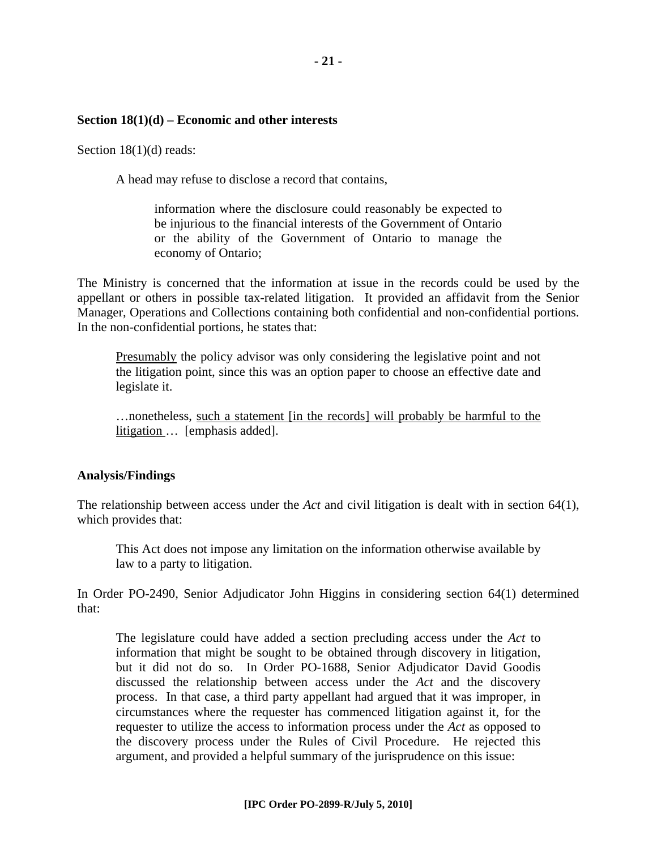#### **Section 18(1)(d) – Economic and other interests**

Section 18(1)(d) reads:

A head may refuse to disclose a record that contains,

information where the disclosure could reasonably be expected to be injurious to the financial interests of the Government of Ontario or the ability of the Government of Ontario to manage the economy of Ontario;

The Ministry is concerned that the information at issue in the records could be used by the appellant or others in possible tax-related litigation. It provided an affidavit from the Senior Manager, Operations and Collections containing both confidential and non-confidential portions. In the non-confidential portions, he states that:

Presumably the policy advisor was only considering the legislative point and not the litigation point, since this was an option paper to choose an effective date and legislate it.

…nonetheless, such a statement [in the records] will probably be harmful to the litigation … [emphasis added].

#### **Analysis/Findings**

The relationship between access under the *Act* and civil litigation is dealt with in section 64(1), which provides that:

This Act does not impose any limitation on the information otherwise available by law to a party to litigation.

In Order PO-2490, Senior Adjudicator John Higgins in considering section 64(1) determined that:

The legislature could have added a section precluding access under the *Act* to information that might be sought to be obtained through discovery in litigation, but it did not do so. In Order PO-1688, Senior Adjudicator David Goodis discussed the relationship between access under the *Act* and the discovery process. In that case, a third party appellant had argued that it was improper, in circumstances where the requester has commenced litigation against it, for the requester to utilize the access to information process under the *Act* as opposed to the discovery process under the Rules of Civil Procedure. He rejected this argument, and provided a helpful summary of the jurisprudence on this issue: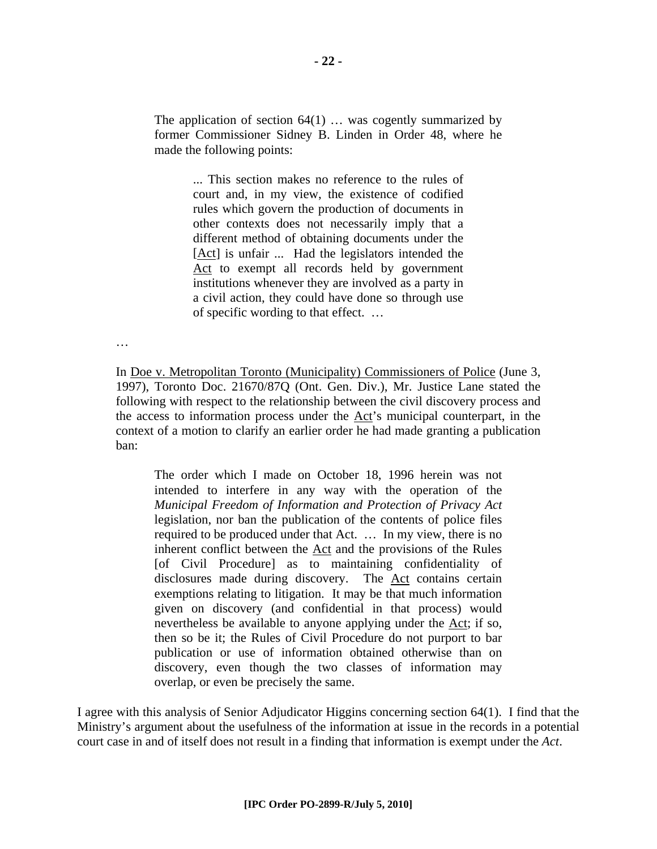The application of section  $64(1)$  ... was cogently summarized by former Commissioner Sidney B. Linden in Order 48, where he made the following points:

> ... This section makes no reference to the rules of court and, in my view, the existence of codified rules which govern the production of documents in other contexts does not necessarily imply that a different method of obtaining documents under the [Act] is unfair ... Had the legislators intended the Act to exempt all records held by government institutions whenever they are involved as a party in a civil action, they could have done so through use of specific wording to that effect. …

…

In Doe v. Metropolitan Toronto (Municipality) Commissioners of Police (June 3, 1997), Toronto Doc. 21670/87Q (Ont. Gen. Div.), Mr. Justice Lane stated the following with respect to the relationship between the civil discovery process and the access to information process under the Act's municipal counterpart, in the context of a motion to clarify an earlier order he had made granting a publication ban:

The order which I made on October 18, 1996 herein was not intended to interfere in any way with the operation of the *Municipal Freedom of Information and Protection of Privacy Act* legislation, nor ban the publication of the contents of police files required to be produced under that Act. … In my view, there is no inherent conflict between the Act and the provisions of the Rules [of Civil Procedure] as to maintaining confidentiality of disclosures made during discovery. The Act contains certain exemptions relating to litigation. It may be that much information given on discovery (and confidential in that process) would nevertheless be available to anyone applying under the Act; if so, then so be it; the Rules of Civil Procedure do not purport to bar publication or use of information obtained otherwise than on discovery, even though the two classes of information may overlap, or even be precisely the same.

I agree with this analysis of Senior Adjudicator Higgins concerning section 64(1). I find that the Ministry's argument about the usefulness of the information at issue in the records in a potential court case in and of itself does not result in a finding that information is exempt under the *Act*.